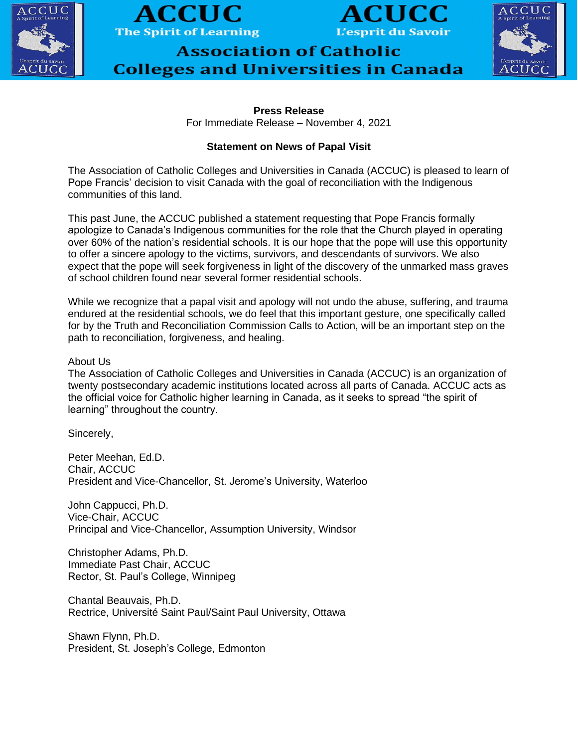





## **Association of Catholic Colleges and Universities in Canada**



**Press Release** For Immediate Release – November 4, 2021

## **Statement on News of Papal Visit**

The Association of Catholic Colleges and Universities in Canada (ACCUC) is pleased to learn of Pope Francis' decision to visit Canada with the goal of reconciliation with the Indigenous communities of this land.

This past June, the ACCUC published a statement requesting that Pope Francis formally apologize to Canada's Indigenous communities for the role that the Church played in operating over 60% of the nation's residential schools. It is our hope that the pope will use this opportunity to offer a sincere apology to the victims, survivors, and descendants of survivors. We also expect that the pope will seek forgiveness in light of the discovery of the unmarked mass graves of school children found near several former residential schools.

While we recognize that a papal visit and apology will not undo the abuse, suffering, and trauma endured at the residential schools, we do feel that this important gesture, one specifically called for by the Truth and Reconciliation Commission Calls to Action, will be an important step on the path to reconciliation, forgiveness, and healing.

## About Us

The Association of Catholic Colleges and Universities in Canada (ACCUC) is an organization of twenty postsecondary academic institutions located across all parts of Canada. ACCUC acts as the official voice for Catholic higher learning in Canada, as it seeks to spread "the spirit of learning" throughout the country.

Sincerely,

Peter Meehan, Ed.D. Chair, ACCUC President and Vice-Chancellor, St. Jerome's University, Waterloo

John Cappucci, Ph.D. Vice-Chair, ACCUC Principal and Vice-Chancellor, Assumption University, Windsor

Christopher Adams, Ph.D. Immediate Past Chair, ACCUC Rector, St. Paul's College, Winnipeg

Chantal Beauvais, Ph.D. Rectrice, Université Saint Paul/Saint Paul University, Ottawa

Shawn Flynn, Ph.D. President, St. Joseph's College, Edmonton